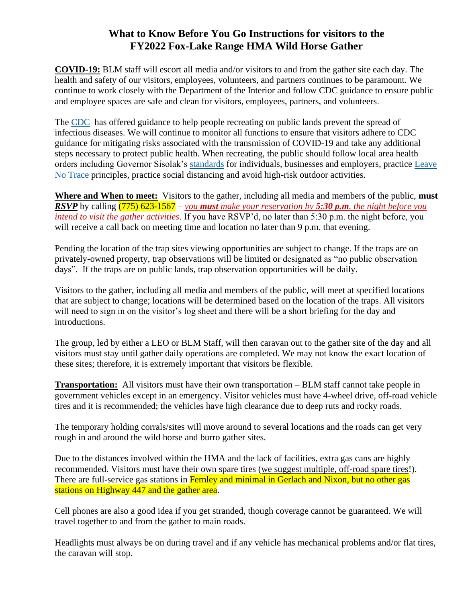## **What to Know Before You Go Instructions for visitors to the FY2022 Fox-Lake Range HMA Wild Horse Gather**

**COVID-19:** BLM staff will escort all media and/or visitors to and from the gather site each day. The health and safety of our visitors, employees, volunteers, and partners continues to be paramount. We continue to work closely with the Department of the Interior and follow CDC guidance to ensure public and employee spaces are safe and clean for visitors, employees, partners, and volunteers.

The [CDC](https://www.cdc.gov/coronavirus/2019-ncov/community/parks-rec/index.html) has offered guidance to help people recreating on public lands prevent the spread of infectious diseases. We will continue to monitor all functions to ensure that visitors adhere to CDC guidance for mitigating risks associated with the transmission of COVID-19 and take any additional steps necessary to protect public health. When recreating, the public should follow local area health orders including Governor Sisolak's [standards](https://nvhealthresponse.nv.gov/wp-content/uploads/2020/05/Phase-2-General-Guidance.pdf) for individuals, businesses and employers, practice [Leave](https://lnt.org/)  [No Trace](https://lnt.org/) principles, practice social distancing and avoid high-risk outdoor activities.

**Where and When to meet:** Visitors to the gather, including all media and members of the public, **must** *RSVP* by calling (775) 623-1567 – *you must make your reservation by 5:30 p.m. the night before you intend to visit the gather activities*. If you have RSVP'd, no later than 5:30 p.m. the night before, you will receive a call back on meeting time and location no later than 9 p.m. that evening.

Pending the location of the trap sites viewing opportunities are subject to change. If the traps are on privately-owned property, trap observations will be limited or designated as "no public observation days". If the traps are on public lands, trap observation opportunities will be daily.

Visitors to the gather, including all media and members of the public, will meet at specified locations that are subject to change; locations will be determined based on the location of the traps. All visitors will need to sign in on the visitor's log sheet and there will be a short briefing for the day and introductions.

The group, led by either a LEO or BLM Staff, will then caravan out to the gather site of the day and all visitors must stay until gather daily operations are completed. We may not know the exact location of these sites; therefore, it is extremely important that visitors be flexible.

**Transportation:** All visitors must have their own transportation – BLM staff cannot take people in government vehicles except in an emergency. Visitor vehicles must have 4-wheel drive, off-road vehicle tires and it is recommended; the vehicles have high clearance due to deep ruts and rocky roads.

The temporary holding corrals/sites will move around to several locations and the roads can get very rough in and around the wild horse and burro gather sites.

Due to the distances involved within the HMA and the lack of facilities, extra gas cans are highly recommended. Visitors must have their own spare tires (we suggest multiple, off-road spare tires!). There are full-service gas stations in Fernley and minimal in Gerlach and Nixon, but no other gas stations on Highway 447 and the gather area.

Cell phones are also a good idea if you get stranded, though coverage cannot be guaranteed. We will travel together to and from the gather to main roads.

Headlights must always be on during travel and if any vehicle has mechanical problems and/or flat tires, the caravan will stop.